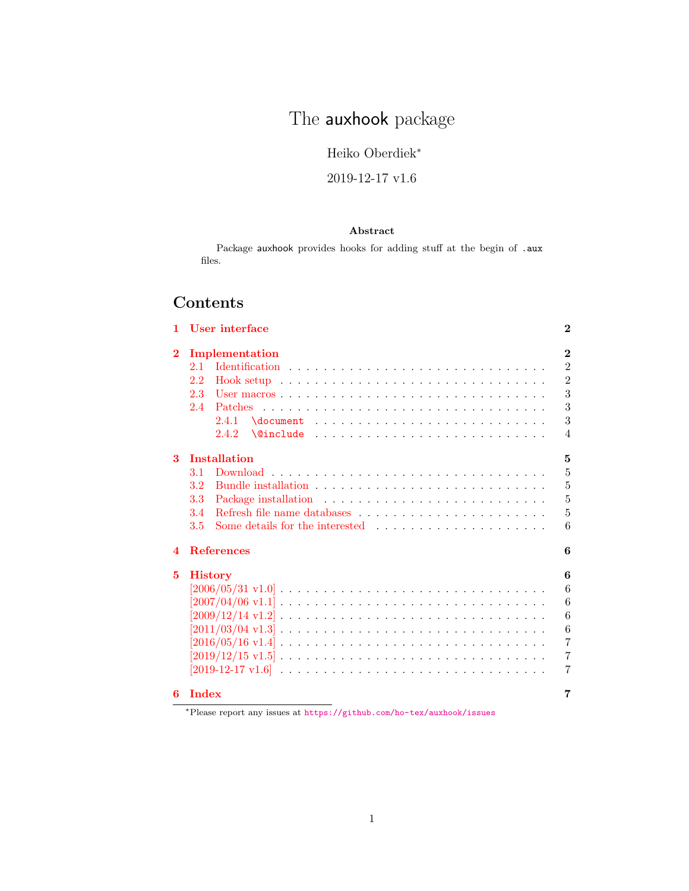# The **auxhook** package

Heiko Oberdiek<sup>∗</sup>

## 2019-12-17 v1.6

### Abstract

Package auxhook provides hooks for adding stuff at the begin of .aux files.

## Contents

| 1.               | User interface                                                                              | $\bf{2}$       |
|------------------|---------------------------------------------------------------------------------------------|----------------|
| $\bf{2}$         | Implementation                                                                              | $\overline{2}$ |
|                  | 2.1                                                                                         | $\overline{2}$ |
|                  | Hook setup $\ldots \ldots \ldots \ldots \ldots \ldots \ldots \ldots \ldots$<br>2.2          | $\overline{2}$ |
|                  | 2.3                                                                                         | 3              |
|                  | 2.4                                                                                         | 3              |
|                  | $\delta$<br>2.4.1                                                                           | 3              |
|                  | 2.4.2                                                                                       | $\overline{4}$ |
| 3                | <b>Installation</b>                                                                         | 5              |
|                  | 3.1                                                                                         | 5              |
|                  | $3.2\,$                                                                                     | $\overline{5}$ |
|                  | 3.3                                                                                         | $\overline{5}$ |
|                  | 3.4                                                                                         | 5              |
|                  | 3.5<br>Some details for the interested $\ldots$ , $\ldots$ , $\ldots$ , $\ldots$ , $\ldots$ | 6              |
| $\boldsymbol{4}$ | <b>References</b>                                                                           | 6              |
| 5                | <b>History</b>                                                                              | 6              |
|                  |                                                                                             | 6              |
|                  |                                                                                             | 6              |
|                  |                                                                                             | 6              |
|                  |                                                                                             | 6              |
|                  |                                                                                             | $\overline{7}$ |
|                  |                                                                                             | $\overline{7}$ |
|                  |                                                                                             | $\overline{7}$ |
| 6                | <b>Index</b>                                                                                | 7              |

<sup>∗</sup>Please report any issues at <https://github.com/ho-tex/auxhook/issues>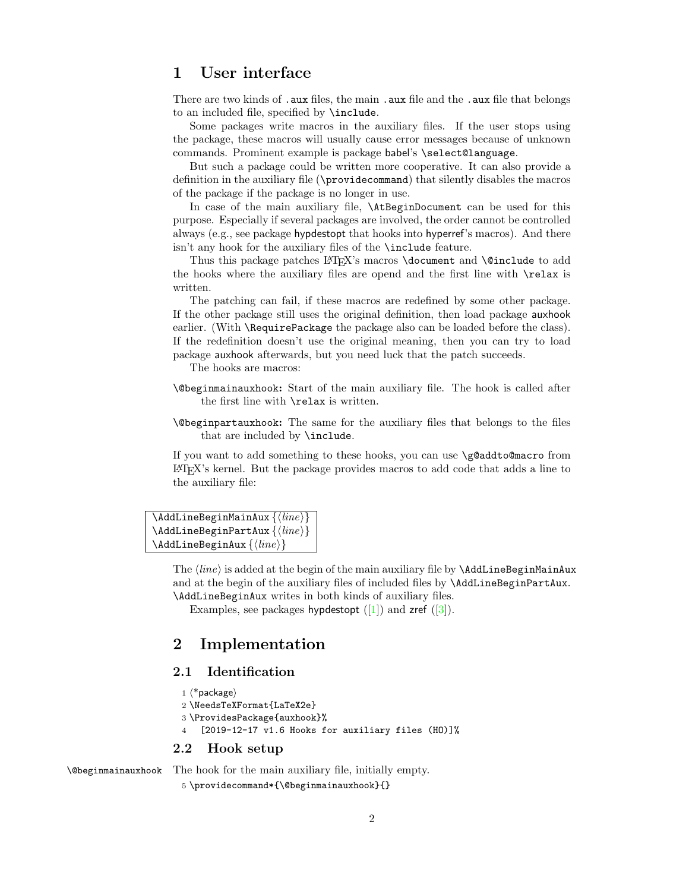## <span id="page-1-0"></span>1 User interface

There are two kinds of .aux files, the main .aux file and the .aux file that belongs to an included file, specified by \include.

Some packages write macros in the auxiliary files. If the user stops using the package, these macros will usually cause error messages because of unknown commands. Prominent example is package babel's \select@language.

But such a package could be written more cooperative. It can also provide a definition in the auxiliary file (\providecommand) that silently disables the macros of the package if the package is no longer in use.

In case of the main auxiliary file, \AtBeginDocument can be used for this purpose. Especially if several packages are involved, the order cannot be controlled always (e.g., see package hypdestopt that hooks into hyperref's macros). And there isn't any hook for the auxiliary files of the \include feature.

Thus this package patches  $\text{LipX's}\text{ macro} \text{ document}$  and  $\text{Quart}$  to add the hooks where the auxiliary files are opend and the first line with \relax is written.

The patching can fail, if these macros are redefined by some other package. If the other package still uses the original definition, then load package auxhook earlier. (With \RequirePackage the package also can be loaded before the class). If the redefinition doesn't use the original meaning, then you can try to load package auxhook afterwards, but you need luck that the patch succeeds.

The hooks are macros:

- \@beginmainauxhook: Start of the main auxiliary file. The hook is called after the first line with \relax is written.
- \@beginpartauxhook: The same for the auxiliary files that belongs to the files that are included by \include.

If you want to add something to these hooks, you can use \g@addto@macro from LATEX's kernel. But the package provides macros to add code that adds a line to the auxiliary file:

```
\AddLineBeginMainAux \{\langle line \rangle\}\{AddLineBeginPartAux \{\langle line \rangle\}\{AddLineBeginAux \{\langle line \rangle\}
```
The  $\langle line \rangle$  is added at the begin of the main auxiliary file by **\AddLineBeginMainAux** and at the begin of the auxiliary files of included files by \AddLineBeginPartAux. \AddLineBeginAux writes in both kinds of auxiliary files.

Examples, see packages hypdestopt  $([1])$  $([1])$  $([1])$  and zref  $([3])$  $([3])$  $([3])$ .

## <span id="page-1-1"></span>2 Implementation

### <span id="page-1-2"></span>2.1 Identification

```
1 \langle*package\rangle
```

```
2 \NeedsTeXFormat{LaTeX2e}
```

```
3 \ProvidesPackage{auxhook}%
```

```
4 [2019-12-17 v1.6 Hooks for auxiliary files (HO)]%
```
#### <span id="page-1-3"></span>2.2 Hook setup

<span id="page-1-4"></span>\@beginmainauxhook The hook for the main auxiliary file, initially empty.

```
5 \providecommand*{\@beginmainauxhook}{}
```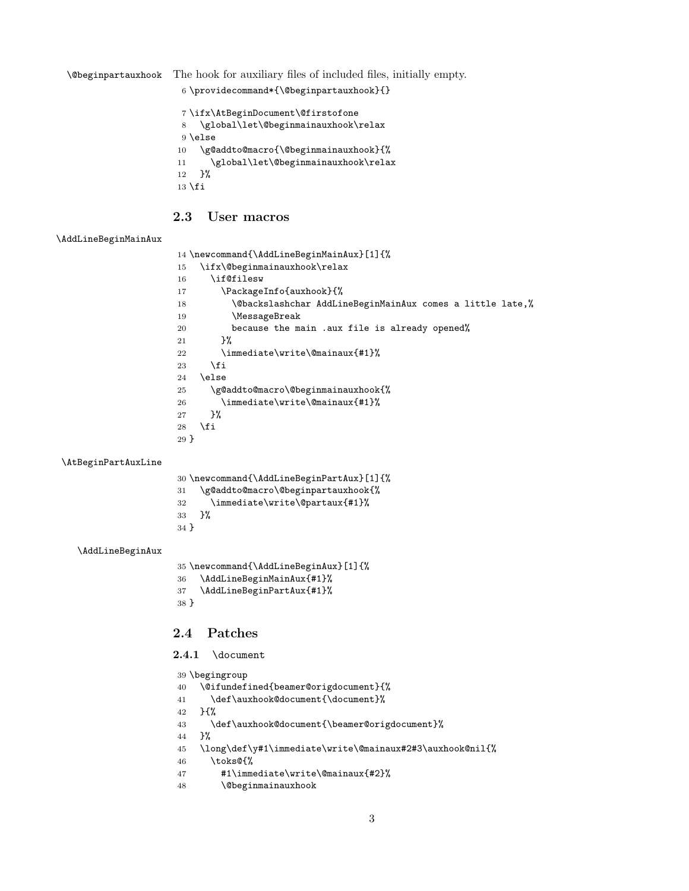<span id="page-2-10"></span>\@beginpartauxhook The hook for auxiliary files of included files, initially empty.

```
6 \providecommand*{\@beginpartauxhook}{}
```

```
7 \ifx\AtBeginDocument\@firstofone
8 \global\let\@beginmainauxhook\relax
9 \else
10 \g@addto@macro{\@beginmainauxhook}{%
11 \global\let\@beginmainauxhook\relax
12 }%
13 \fi
```
## <span id="page-2-0"></span>2.3 User macros

#### <span id="page-2-20"></span>\AddLineBeginMainAux

<span id="page-2-31"></span><span id="page-2-29"></span><span id="page-2-28"></span><span id="page-2-27"></span><span id="page-2-14"></span><span id="page-2-7"></span><span id="page-2-3"></span>

| 14 \newcommand{\AddLineBeginMainAux}[1]{% |                                                           |  |
|-------------------------------------------|-----------------------------------------------------------|--|
| 15                                        | \ifx\@beginmainauxhook\relax                              |  |
| 16                                        | \if@filesw                                                |  |
| 17                                        | \PackageInfo{auxhook}{%                                   |  |
| 18                                        | \@backslashchar AddLineBeginMainAux comes a little late,% |  |
| 19                                        | \MessageBreak                                             |  |
| 20                                        | because the main .aux file is already opened%             |  |
| 21                                        | ጉ%                                                        |  |
| 22                                        | \immediate\write\@mainaux{#1}%                            |  |
| 23                                        | \fi                                                       |  |
| 24                                        | \else                                                     |  |
| 25                                        | \g@addto@macro\@beginmainauxhook{%                        |  |
| 26                                        | \immediate\write\@mainaux{#1}%                            |  |
| 27                                        | }‰                                                        |  |
| 28                                        | \fi                                                       |  |
| 29 <sup>1</sup>                           |                                                           |  |
|                                           |                                                           |  |

#### <span id="page-2-24"></span>\AtBeginPartAuxLine

<span id="page-2-22"></span><span id="page-2-18"></span><span id="page-2-15"></span><span id="page-2-11"></span><span id="page-2-8"></span>

| 30 \newcommand{\AddLineBeginPartAux}[1]{% |  |  |
|-------------------------------------------|--|--|
| \g@addto@macro\@beginpartauxhook{%<br>31  |  |  |
| \immediate\write\@partaux{#1}%<br>32      |  |  |
| ጉ%<br>33                                  |  |  |
| $34$ }                                    |  |  |
|                                           |  |  |

#### <span id="page-2-19"></span>\AddLineBeginAux

```
35 \newcommand{\AddLineBeginAux}[1]{%
36 \AddLineBeginMainAux{#1}%
37 \AddLineBeginPartAux{#1}%
38 }
```
### <span id="page-2-1"></span>2.4 Patches

#### <span id="page-2-2"></span>2.4.1 \document

```
39 \begingroup
40 \@ifundefined{beamer@origdocument}{%
41 \def\auxhook@document{\document}%
42 }{%
43 \def\auxhook@document{\beamer@origdocument}%
44 }%
45 \long\def\y#1\immediate\write\@mainaux#2#3\auxhook@nil{%
46 \toks@{%
47 #1\immediate\write\@mainaux{#2}%
48 \@beginmainauxhook
```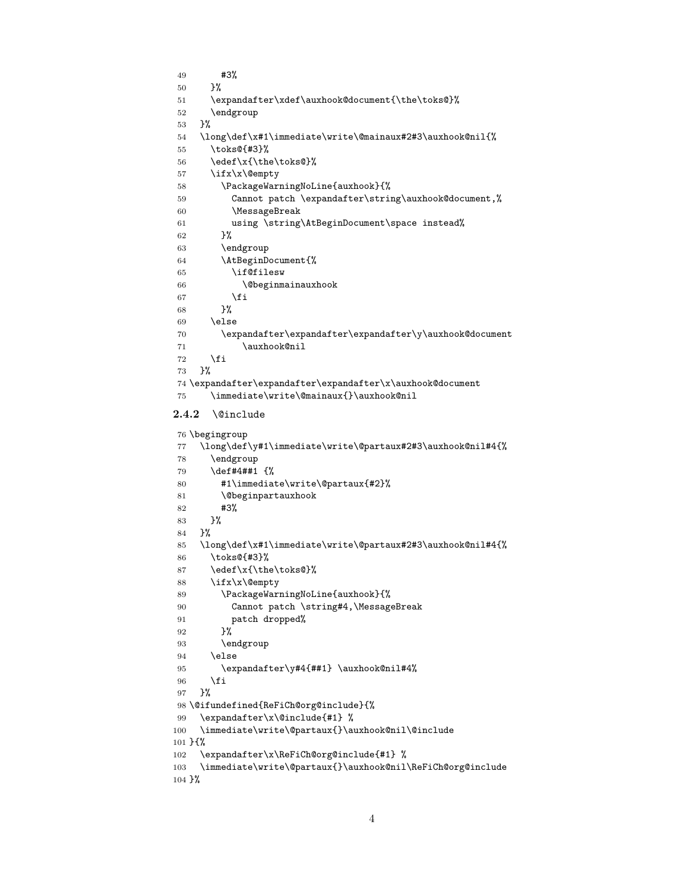```
49 #3%
50 }%
51 \expandafter\xdef\auxhook@document{\the\toks@}%
52 \endgroup
53 }%
54 \long\def\x#1\immediate\write\@mainaux#2#3\auxhook@nil{%
55 \toks@{#3}%
56 \edef\x{\the\toks@}%
57 \ifx\x\@empty
58 \PackageWarningNoLine{auxhook}{%
59 Cannot patch \expandafter\string\auxhook@document,%
60 \MessageBreak
61 using \string\AtBeginDocument\space instead%
62 }%
63 \endgroup
64 \AtBeginDocument{%
65 \if@filesw
66 \@beginmainauxhook
67 \fi
68 }%
69 \else
70 \expandafter\expandafter\expandafter\y\auxhook@document
71 \auxhook@nil
72 \fi
73 }%
74 \expandafter\expandafter\expandafter\x\auxhook@document
75 \immediate\write\@mainaux{}\auxhook@nil
2.4.2 \@include
76 \begingroup
77 \long\def\y#1\immediate\write\@partaux#2#3\auxhook@nil#4{%
78 \endgroup
79 \def#4##1 {%
80 #1\immediate\write\@partaux{#2}%
81 \@beginpartauxhook
82 #3%
83 }%
84 }%
85 \long\def\x#1\immediate\write\@partaux#2#3\auxhook@nil#4{%
86 \toks@{#3}%
87 \edef\x{\the\toks@}%
88 \ifx\x\@empty
89 \PackageWarningNoLine{auxhook}{%
90 Cannot patch \string#4, \MessageBreak
91 patch dropped%
92 }%
93 \endgroup
94 \else
95 \expandafter\y#4{##1} \auxhook@nil#4%
96 \fi
97 }%
98 \@ifundefined{ReFiCh@org@include}{%
99 \expandafter\x\@include{#1} %
100 \immediate\write\@partaux{}\auxhook@nil\@include
101 }{%
102 \expandafter\x\ReFiCh@org@include{#1} %
103 \immediate\write\@partaux{}\auxhook@nil\ReFiCh@org@include
```

```
104 }%
```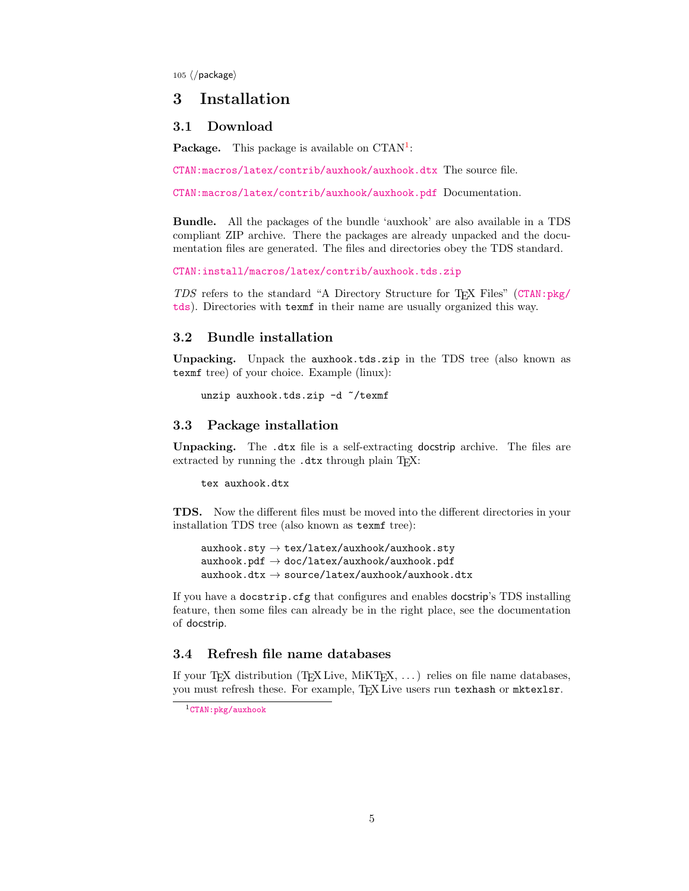$105 \langle / \text{package} \rangle$ 

## <span id="page-4-0"></span>3 Installation

#### <span id="page-4-1"></span>3.1 Download

**Package.** This package is available on  $CTAN^1$  $CTAN^1$ :

[CTAN:macros/latex/contrib/auxhook/auxhook.dtx](https://ctan.org/tex-archive/macros/latex/contrib/auxhook/auxhook.dtx) The source file.

[CTAN:macros/latex/contrib/auxhook/auxhook.pdf](https://ctan.org/tex-archive/macros/latex/contrib/auxhook/auxhook.pdf) Documentation.

Bundle. All the packages of the bundle 'auxhook' are also available in a TDS compliant ZIP archive. There the packages are already unpacked and the documentation files are generated. The files and directories obey the TDS standard.

[CTAN:install/macros/latex/contrib/auxhook.tds.zip](http://mirrors.ctan.org/install/macros/latex/contrib/auxhook.tds.zip)

TDS refers to the standard "A Directory Structure for TEX Files" ([CTAN:pkg/](http://ctan.org/pkg/tds) [tds](http://ctan.org/pkg/tds)). Directories with texmf in their name are usually organized this way.

#### <span id="page-4-2"></span>3.2 Bundle installation

Unpacking. Unpack the auxhook.tds.zip in the TDS tree (also known as texmf tree) of your choice. Example (linux):

unzip auxhook.tds.zip -d ~/texmf

#### <span id="page-4-3"></span>3.3 Package installation

Unpacking. The .dtx file is a self-extracting docstrip archive. The files are extracted by running the .dtx through plain T<sub>E</sub>X:

tex auxhook.dtx

TDS. Now the different files must be moved into the different directories in your installation TDS tree (also known as texmf tree):

 $auxhook.txt$ ,  $\rightarrow$  tex/latex/auxhook/auxhook.sty  $auxhook.pdf \rightarrow doc/lates/auxhook/auxhook/auxhook,pdf$  $auxhook.$ dtx  $\rightarrow$  source/latex/auxhook/auxhook.dtx

If you have a docstrip.cfg that configures and enables docstrip's TDS installing feature, then some files can already be in the right place, see the documentation of docstrip.

#### <span id="page-4-4"></span>3.4 Refresh file name databases

If your T<sub>E</sub>X distribution (T<sub>E</sub>X Live, MiKT<sub>E</sub>X,  $\ldots$ ) relies on file name databases, you must refresh these. For example, TFX Live users run texhash or mktexlsr.

<span id="page-4-5"></span><sup>1</sup>[CTAN:pkg/auxhook](http://ctan.org/pkg/auxhook)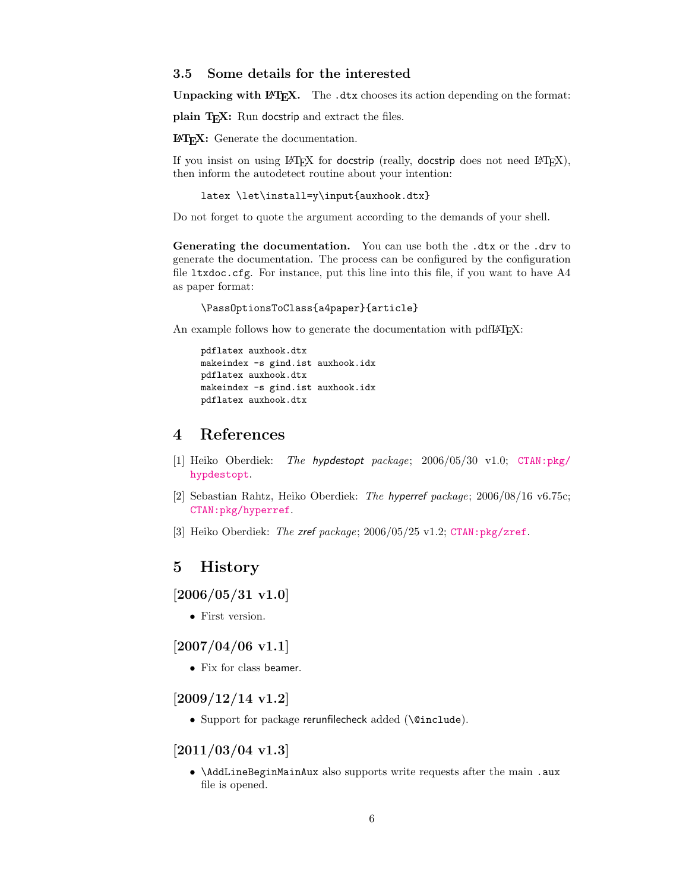#### <span id="page-5-0"></span>3.5 Some details for the interested

**Unpacking with LATEX.** The  $\cdot$  dtx chooses its action depending on the format:

plain T<sub>E</sub>X: Run docstrip and extract the files.

LATEX: Generate the documentation.

If you insist on using  $L^2T_FX$  for docstrip (really, docstrip does not need  $L^2T_FX$ ), then inform the autodetect routine about your intention:

```
latex \let\install=y\input{auxhook.dtx}
```
Do not forget to quote the argument according to the demands of your shell.

Generating the documentation. You can use both the .dtx or the .drv to generate the documentation. The process can be configured by the configuration file  $l$ txdoc.cfg. For instance, put this line into this file, if you want to have  $A4$ as paper format:

\PassOptionsToClass{a4paper}{article}

An example follows how to generate the documentation with pdfL<sup>AT</sup>FX:

pdflatex auxhook.dtx makeindex -s gind.ist auxhook.idx pdflatex auxhook.dtx makeindex -s gind.ist auxhook.idx pdflatex auxhook.dtx

## <span id="page-5-1"></span>4 References

- <span id="page-5-7"></span>[1] Heiko Oberdiek: The hypdestopt package; 2006/05/30 v1.0; [CTAN:pkg/](http://ctan.org/pkg/hypdestopt) [hypdestopt](http://ctan.org/pkg/hypdestopt).
- [2] Sebastian Rahtz, Heiko Oberdiek: The hyperref package; 2006/08/16 v6.75c; [CTAN:pkg/hyperref](http://ctan.org/pkg/hyperref).
- <span id="page-5-8"></span>[3] Heiko Oberdiek: The zref package; 2006/05/25 v1.2; [CTAN:pkg/zref](http://ctan.org/pkg/zref).

### <span id="page-5-2"></span>5 History

## <span id="page-5-3"></span>[2006/05/31 v1.0]

• First version.

### <span id="page-5-4"></span> $[2007/04/06 \text{ v}1.1]$

• Fix for class beamer.

### <span id="page-5-5"></span>[2009/12/14 v1.2]

• Support for package rerunfilecheck added (\@include).

#### <span id="page-5-6"></span> $[2011/03/04 \text{ v}1.3]$

• \AddLineBeginMainAux also supports write requests after the main .aux file is opened.